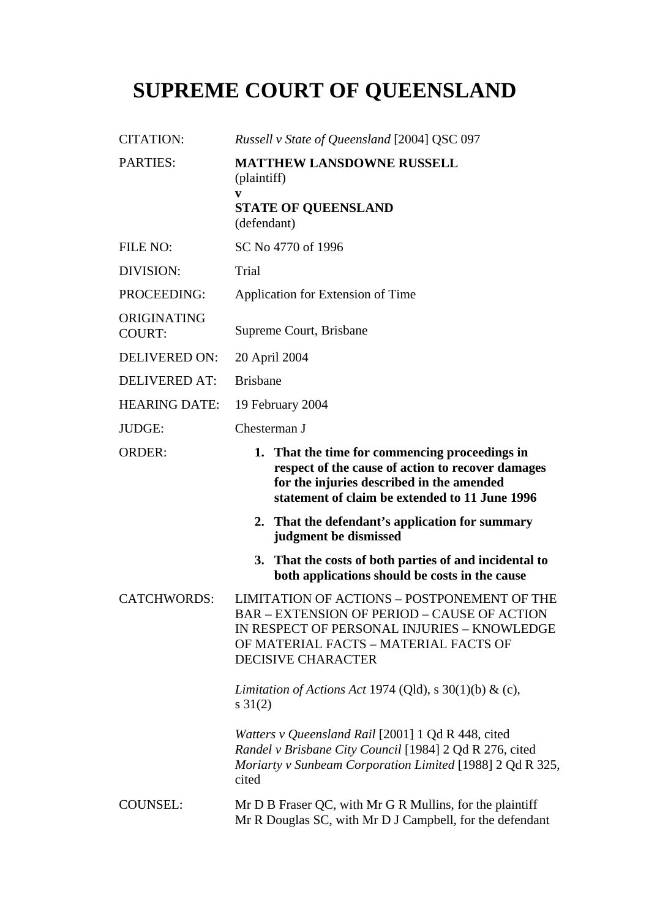## **SUPREME COURT OF QUEENSLAND**

| <b>CITATION:</b>             | Russell v State of Queensland [2004] QSC 097                                                                                                                                                                           |
|------------------------------|------------------------------------------------------------------------------------------------------------------------------------------------------------------------------------------------------------------------|
| <b>PARTIES:</b>              | <b>MATTHEW LANSDOWNE RUSSELL</b><br>(plaintiff)<br>V<br><b>STATE OF QUEENSLAND</b><br>(defendant)                                                                                                                      |
| FILE NO:                     | SC No 4770 of 1996                                                                                                                                                                                                     |
| DIVISION:                    | Trial                                                                                                                                                                                                                  |
| PROCEEDING:                  | Application for Extension of Time                                                                                                                                                                                      |
| ORIGINATING<br><b>COURT:</b> | Supreme Court, Brisbane                                                                                                                                                                                                |
| <b>DELIVERED ON:</b>         | 20 April 2004                                                                                                                                                                                                          |
| <b>DELIVERED AT:</b>         | <b>Brisbane</b>                                                                                                                                                                                                        |
| <b>HEARING DATE:</b>         | 19 February 2004                                                                                                                                                                                                       |
| <b>JUDGE:</b>                | Chesterman J                                                                                                                                                                                                           |
| <b>ORDER:</b>                | 1. That the time for commencing proceedings in<br>respect of the cause of action to recover damages<br>for the injuries described in the amended<br>statement of claim be extended to 11 June 1996                     |
|                              | 2. That the defendant's application for summary<br>judgment be dismissed                                                                                                                                               |
|                              | That the costs of both parties of and incidental to<br><b>3.</b><br>both applications should be costs in the cause                                                                                                     |
| <b>CATCHWORDS:</b>           | LIMITATION OF ACTIONS - POSTPONEMENT OF THE<br><b>BAR - EXTENSION OF PERIOD - CAUSE OF ACTION</b><br>IN RESPECT OF PERSONAL INJURIES - KNOWLEDGE<br>OF MATERIAL FACTS - MATERIAL FACTS OF<br><b>DECISIVE CHARACTER</b> |
|                              | Limitation of Actions Act 1974 (Qld), s $30(1)(b)$ & (c),<br>$s \, 31(2)$                                                                                                                                              |
|                              | Watters v Queensland Rail [2001] 1 Qd R 448, cited<br>Randel v Brisbane City Council [1984] 2 Qd R 276, cited<br>Moriarty v Sunbeam Corporation Limited [1988] 2 Qd R 325,<br>cited                                    |
| <b>COUNSEL:</b>              | Mr D B Fraser QC, with Mr G R Mullins, for the plaintiff<br>Mr R Douglas SC, with Mr D J Campbell, for the defendant                                                                                                   |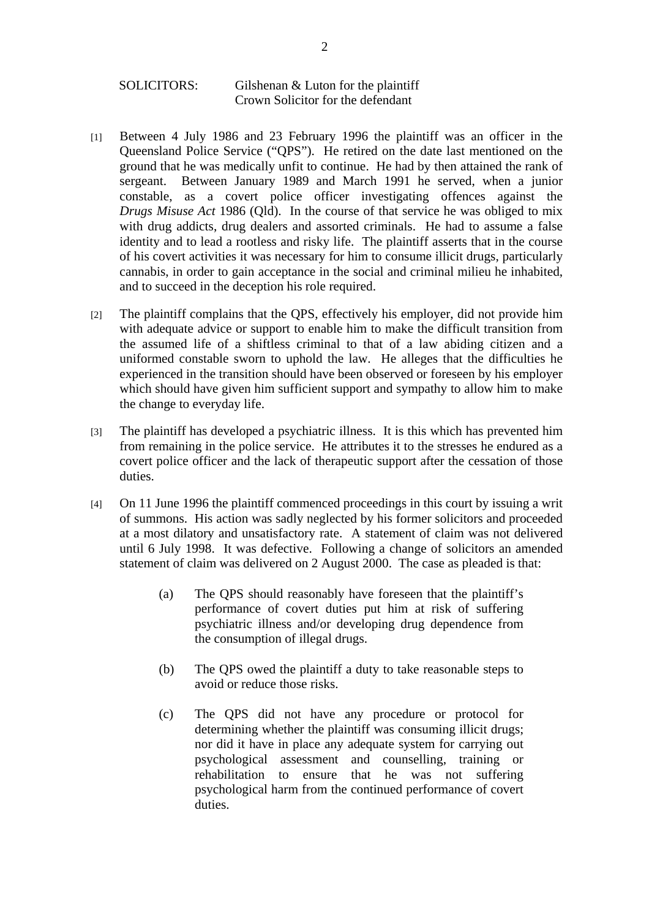## SOLICITORS: Gilshenan & Luton for the plaintiff Crown Solicitor for the defendant

- [1] Between 4 July 1986 and 23 February 1996 the plaintiff was an officer in the Queensland Police Service ("QPS"). He retired on the date last mentioned on the ground that he was medically unfit to continue. He had by then attained the rank of sergeant. Between January 1989 and March 1991 he served, when a junior constable, as a covert police officer investigating offences against the *Drugs Misuse Act* 1986 (Qld). In the course of that service he was obliged to mix with drug addicts, drug dealers and assorted criminals. He had to assume a false identity and to lead a rootless and risky life. The plaintiff asserts that in the course of his covert activities it was necessary for him to consume illicit drugs, particularly cannabis, in order to gain acceptance in the social and criminal milieu he inhabited, and to succeed in the deception his role required.
- [2] The plaintiff complains that the QPS, effectively his employer, did not provide him with adequate advice or support to enable him to make the difficult transition from the assumed life of a shiftless criminal to that of a law abiding citizen and a uniformed constable sworn to uphold the law. He alleges that the difficulties he experienced in the transition should have been observed or foreseen by his employer which should have given him sufficient support and sympathy to allow him to make the change to everyday life.
- [3] The plaintiff has developed a psychiatric illness. It is this which has prevented him from remaining in the police service. He attributes it to the stresses he endured as a covert police officer and the lack of therapeutic support after the cessation of those duties.
- [4] On 11 June 1996 the plaintiff commenced proceedings in this court by issuing a writ of summons. His action was sadly neglected by his former solicitors and proceeded at a most dilatory and unsatisfactory rate. A statement of claim was not delivered until 6 July 1998. It was defective. Following a change of solicitors an amended statement of claim was delivered on 2 August 2000. The case as pleaded is that:
	- (a) The QPS should reasonably have foreseen that the plaintiff's performance of covert duties put him at risk of suffering psychiatric illness and/or developing drug dependence from the consumption of illegal drugs.
	- (b) The QPS owed the plaintiff a duty to take reasonable steps to avoid or reduce those risks.
	- (c) The QPS did not have any procedure or protocol for determining whether the plaintiff was consuming illicit drugs; nor did it have in place any adequate system for carrying out psychological assessment and counselling, training or rehabilitation to ensure that he was not suffering psychological harm from the continued performance of covert duties.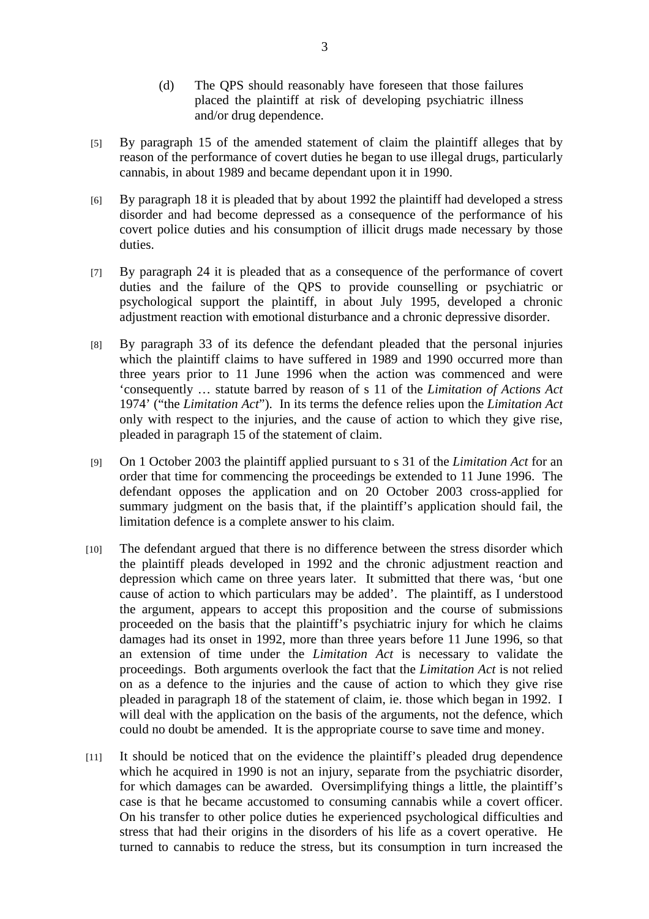- (d) The QPS should reasonably have foreseen that those failures placed the plaintiff at risk of developing psychiatric illness and/or drug dependence.
- [5] By paragraph 15 of the amended statement of claim the plaintiff alleges that by reason of the performance of covert duties he began to use illegal drugs, particularly cannabis, in about 1989 and became dependant upon it in 1990.
- [6] By paragraph 18 it is pleaded that by about 1992 the plaintiff had developed a stress disorder and had become depressed as a consequence of the performance of his covert police duties and his consumption of illicit drugs made necessary by those duties.
- [7] By paragraph 24 it is pleaded that as a consequence of the performance of covert duties and the failure of the QPS to provide counselling or psychiatric or psychological support the plaintiff, in about July 1995, developed a chronic adjustment reaction with emotional disturbance and a chronic depressive disorder.
- [8] By paragraph 33 of its defence the defendant pleaded that the personal injuries which the plaintiff claims to have suffered in 1989 and 1990 occurred more than three years prior to 11 June 1996 when the action was commenced and were 'consequently … statute barred by reason of s 11 of the *Limitation of Actions Act* 1974' ("the *Limitation Act*"). In its terms the defence relies upon the *Limitation Act* only with respect to the injuries, and the cause of action to which they give rise, pleaded in paragraph 15 of the statement of claim.
- [9] On 1 October 2003 the plaintiff applied pursuant to s 31 of the *Limitation Act* for an order that time for commencing the proceedings be extended to 11 June 1996. The defendant opposes the application and on 20 October 2003 cross-applied for summary judgment on the basis that, if the plaintiff's application should fail, the limitation defence is a complete answer to his claim.
- [10] The defendant argued that there is no difference between the stress disorder which the plaintiff pleads developed in 1992 and the chronic adjustment reaction and depression which came on three years later. It submitted that there was, 'but one cause of action to which particulars may be added'. The plaintiff, as I understood the argument, appears to accept this proposition and the course of submissions proceeded on the basis that the plaintiff's psychiatric injury for which he claims damages had its onset in 1992, more than three years before 11 June 1996, so that an extension of time under the *Limitation Act* is necessary to validate the proceedings. Both arguments overlook the fact that the *Limitation Act* is not relied on as a defence to the injuries and the cause of action to which they give rise pleaded in paragraph 18 of the statement of claim, ie. those which began in 1992. I will deal with the application on the basis of the arguments, not the defence, which could no doubt be amended. It is the appropriate course to save time and money.
- [11] It should be noticed that on the evidence the plaintiff's pleaded drug dependence which he acquired in 1990 is not an injury, separate from the psychiatric disorder, for which damages can be awarded. Oversimplifying things a little, the plaintiff's case is that he became accustomed to consuming cannabis while a covert officer. On his transfer to other police duties he experienced psychological difficulties and stress that had their origins in the disorders of his life as a covert operative. He turned to cannabis to reduce the stress, but its consumption in turn increased the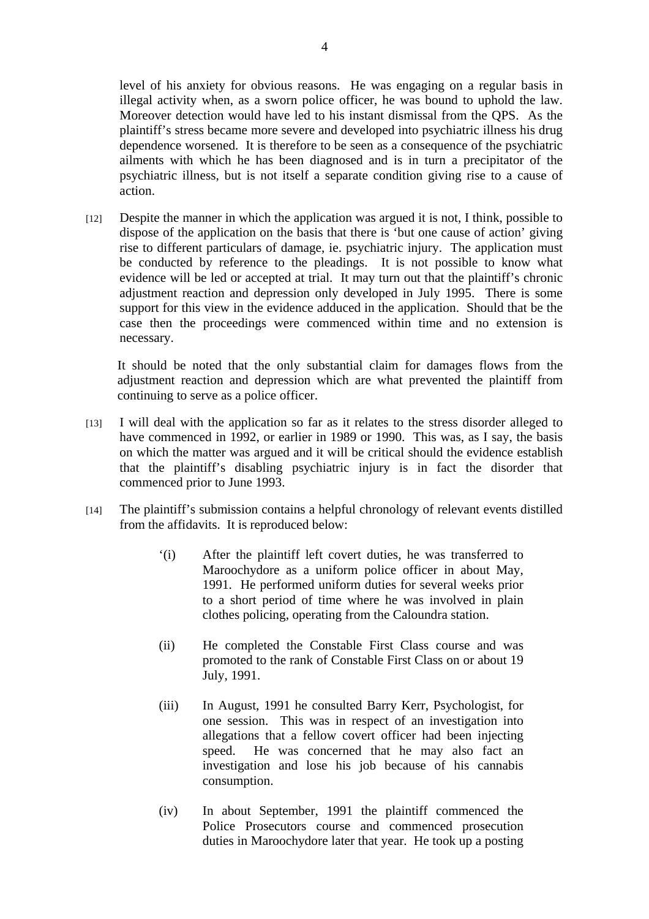level of his anxiety for obvious reasons. He was engaging on a regular basis in illegal activity when, as a sworn police officer, he was bound to uphold the law. Moreover detection would have led to his instant dismissal from the QPS. As the plaintiff's stress became more severe and developed into psychiatric illness his drug dependence worsened. It is therefore to be seen as a consequence of the psychiatric ailments with which he has been diagnosed and is in turn a precipitator of the psychiatric illness, but is not itself a separate condition giving rise to a cause of action.

[12] Despite the manner in which the application was argued it is not, I think, possible to dispose of the application on the basis that there is 'but one cause of action' giving rise to different particulars of damage, ie. psychiatric injury. The application must be conducted by reference to the pleadings. It is not possible to know what evidence will be led or accepted at trial. It may turn out that the plaintiff's chronic adjustment reaction and depression only developed in July 1995. There is some support for this view in the evidence adduced in the application. Should that be the case then the proceedings were commenced within time and no extension is necessary.

It should be noted that the only substantial claim for damages flows from the adjustment reaction and depression which are what prevented the plaintiff from continuing to serve as a police officer.

- [13] I will deal with the application so far as it relates to the stress disorder alleged to have commenced in 1992, or earlier in 1989 or 1990. This was, as I say, the basis on which the matter was argued and it will be critical should the evidence establish that the plaintiff's disabling psychiatric injury is in fact the disorder that commenced prior to June 1993.
- [14] The plaintiff's submission contains a helpful chronology of relevant events distilled from the affidavits. It is reproduced below:
	- '(i) After the plaintiff left covert duties, he was transferred to Maroochydore as a uniform police officer in about May, 1991. He performed uniform duties for several weeks prior to a short period of time where he was involved in plain clothes policing, operating from the Caloundra station.
	- (ii) He completed the Constable First Class course and was promoted to the rank of Constable First Class on or about 19 July, 1991.
	- (iii) In August, 1991 he consulted Barry Kerr, Psychologist, for one session. This was in respect of an investigation into allegations that a fellow covert officer had been injecting speed. He was concerned that he may also fact an investigation and lose his job because of his cannabis consumption.
	- (iv) In about September, 1991 the plaintiff commenced the Police Prosecutors course and commenced prosecution duties in Maroochydore later that year. He took up a posting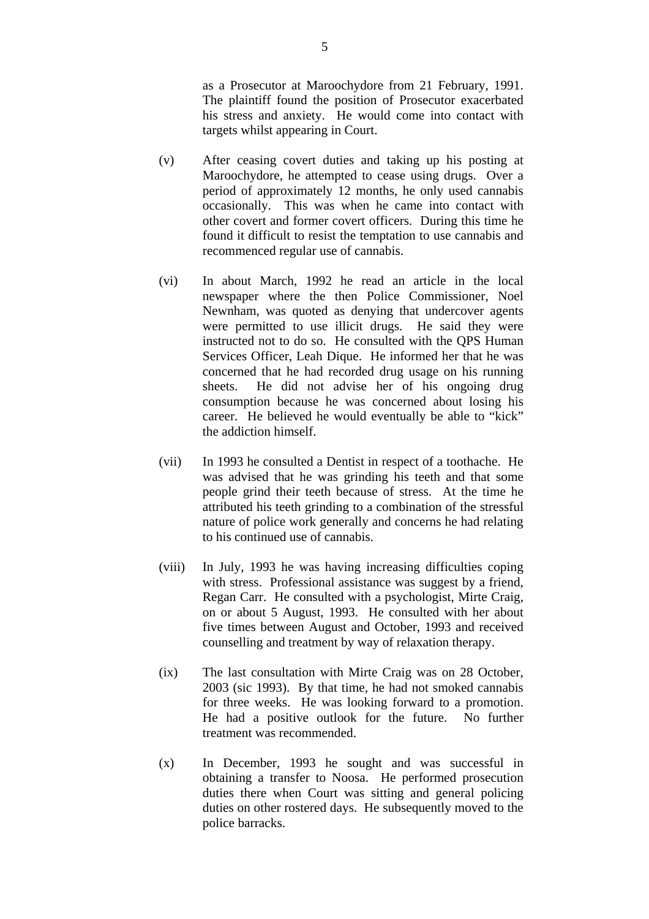as a Prosecutor at Maroochydore from 21 February, 1991. The plaintiff found the position of Prosecutor exacerbated his stress and anxiety. He would come into contact with targets whilst appearing in Court.

- (v) After ceasing covert duties and taking up his posting at Maroochydore, he attempted to cease using drugs. Over a period of approximately 12 months, he only used cannabis occasionally. This was when he came into contact with other covert and former covert officers. During this time he found it difficult to resist the temptation to use cannabis and recommenced regular use of cannabis.
- (vi) In about March, 1992 he read an article in the local newspaper where the then Police Commissioner, Noel Newnham, was quoted as denying that undercover agents were permitted to use illicit drugs. He said they were instructed not to do so. He consulted with the QPS Human Services Officer, Leah Dique. He informed her that he was concerned that he had recorded drug usage on his running sheets. He did not advise her of his ongoing drug consumption because he was concerned about losing his career. He believed he would eventually be able to "kick" the addiction himself.
- (vii) In 1993 he consulted a Dentist in respect of a toothache. He was advised that he was grinding his teeth and that some people grind their teeth because of stress. At the time he attributed his teeth grinding to a combination of the stressful nature of police work generally and concerns he had relating to his continued use of cannabis.
- (viii) In July, 1993 he was having increasing difficulties coping with stress. Professional assistance was suggest by a friend, Regan Carr. He consulted with a psychologist, Mirte Craig, on or about 5 August, 1993. He consulted with her about five times between August and October, 1993 and received counselling and treatment by way of relaxation therapy.
- (ix) The last consultation with Mirte Craig was on 28 October, 2003 (sic 1993). By that time, he had not smoked cannabis for three weeks. He was looking forward to a promotion. He had a positive outlook for the future. No further treatment was recommended.
- (x) In December, 1993 he sought and was successful in obtaining a transfer to Noosa. He performed prosecution duties there when Court was sitting and general policing duties on other rostered days. He subsequently moved to the police barracks.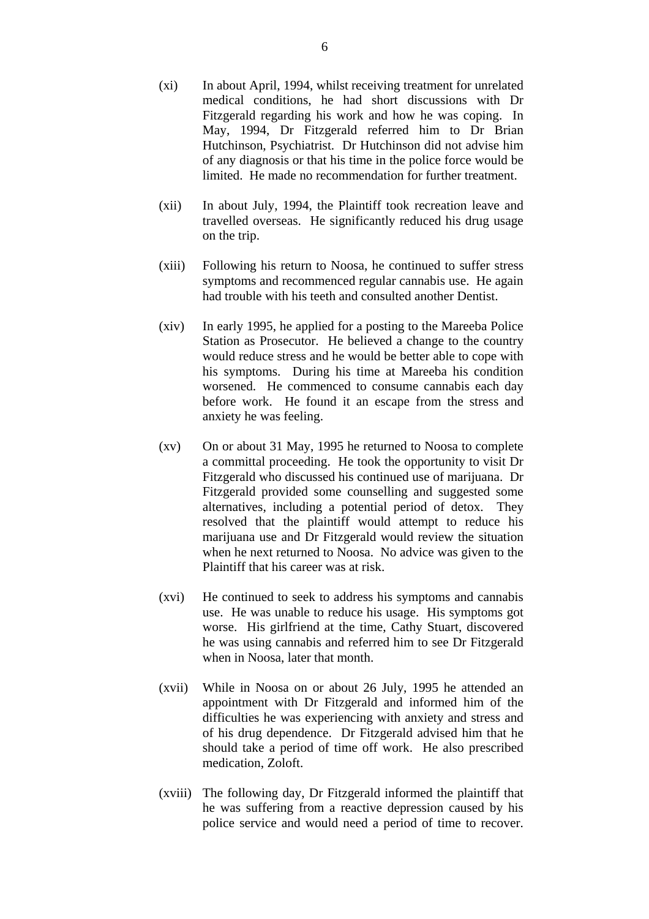- (xi) In about April, 1994, whilst receiving treatment for unrelated medical conditions, he had short discussions with Dr Fitzgerald regarding his work and how he was coping. In May, 1994, Dr Fitzgerald referred him to Dr Brian Hutchinson, Psychiatrist. Dr Hutchinson did not advise him of any diagnosis or that his time in the police force would be limited. He made no recommendation for further treatment.
- (xii) In about July, 1994, the Plaintiff took recreation leave and travelled overseas. He significantly reduced his drug usage on the trip.
- (xiii) Following his return to Noosa, he continued to suffer stress symptoms and recommenced regular cannabis use. He again had trouble with his teeth and consulted another Dentist.
- (xiv) In early 1995, he applied for a posting to the Mareeba Police Station as Prosecutor. He believed a change to the country would reduce stress and he would be better able to cope with his symptoms. During his time at Mareeba his condition worsened. He commenced to consume cannabis each day before work. He found it an escape from the stress and anxiety he was feeling.
- (xv) On or about 31 May, 1995 he returned to Noosa to complete a committal proceeding. He took the opportunity to visit Dr Fitzgerald who discussed his continued use of marijuana. Dr Fitzgerald provided some counselling and suggested some alternatives, including a potential period of detox. They resolved that the plaintiff would attempt to reduce his marijuana use and Dr Fitzgerald would review the situation when he next returned to Noosa. No advice was given to the Plaintiff that his career was at risk.
- (xvi) He continued to seek to address his symptoms and cannabis use. He was unable to reduce his usage. His symptoms got worse. His girlfriend at the time, Cathy Stuart, discovered he was using cannabis and referred him to see Dr Fitzgerald when in Noosa, later that month.
- (xvii) While in Noosa on or about 26 July, 1995 he attended an appointment with Dr Fitzgerald and informed him of the difficulties he was experiencing with anxiety and stress and of his drug dependence. Dr Fitzgerald advised him that he should take a period of time off work. He also prescribed medication, Zoloft.
- (xviii) The following day, Dr Fitzgerald informed the plaintiff that he was suffering from a reactive depression caused by his police service and would need a period of time to recover.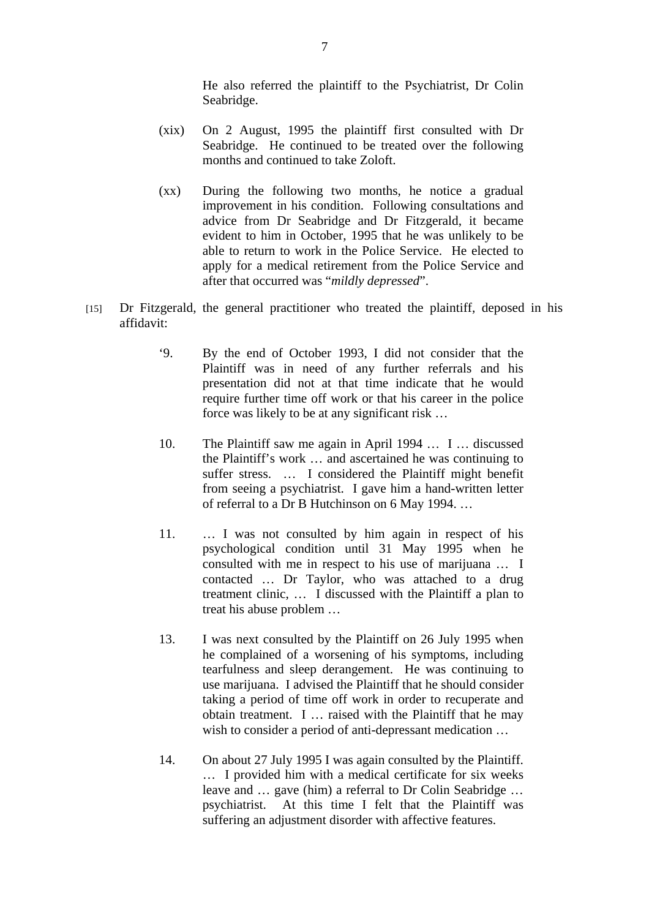He also referred the plaintiff to the Psychiatrist, Dr Colin Seabridge.

- (xix) On 2 August, 1995 the plaintiff first consulted with Dr Seabridge. He continued to be treated over the following months and continued to take Zoloft.
- (xx) During the following two months, he notice a gradual improvement in his condition. Following consultations and advice from Dr Seabridge and Dr Fitzgerald, it became evident to him in October, 1995 that he was unlikely to be able to return to work in the Police Service. He elected to apply for a medical retirement from the Police Service and after that occurred was "*mildly depressed*".
- [15] Dr Fitzgerald, the general practitioner who treated the plaintiff, deposed in his affidavit:
	- '9. By the end of October 1993, I did not consider that the Plaintiff was in need of any further referrals and his presentation did not at that time indicate that he would require further time off work or that his career in the police force was likely to be at any significant risk …
	- 10. The Plaintiff saw me again in April 1994 … I … discussed the Plaintiff's work … and ascertained he was continuing to suffer stress. … I considered the Plaintiff might benefit from seeing a psychiatrist. I gave him a hand-written letter of referral to a Dr B Hutchinson on 6 May 1994. …
	- 11. … I was not consulted by him again in respect of his psychological condition until 31 May 1995 when he consulted with me in respect to his use of marijuana … I contacted … Dr Taylor, who was attached to a drug treatment clinic, … I discussed with the Plaintiff a plan to treat his abuse problem …
	- 13. I was next consulted by the Plaintiff on 26 July 1995 when he complained of a worsening of his symptoms, including tearfulness and sleep derangement. He was continuing to use marijuana. I advised the Plaintiff that he should consider taking a period of time off work in order to recuperate and obtain treatment. I … raised with the Plaintiff that he may wish to consider a period of anti-depressant medication …
	- 14. On about 27 July 1995 I was again consulted by the Plaintiff. … I provided him with a medical certificate for six weeks leave and … gave (him) a referral to Dr Colin Seabridge … psychiatrist. At this time I felt that the Plaintiff was suffering an adjustment disorder with affective features.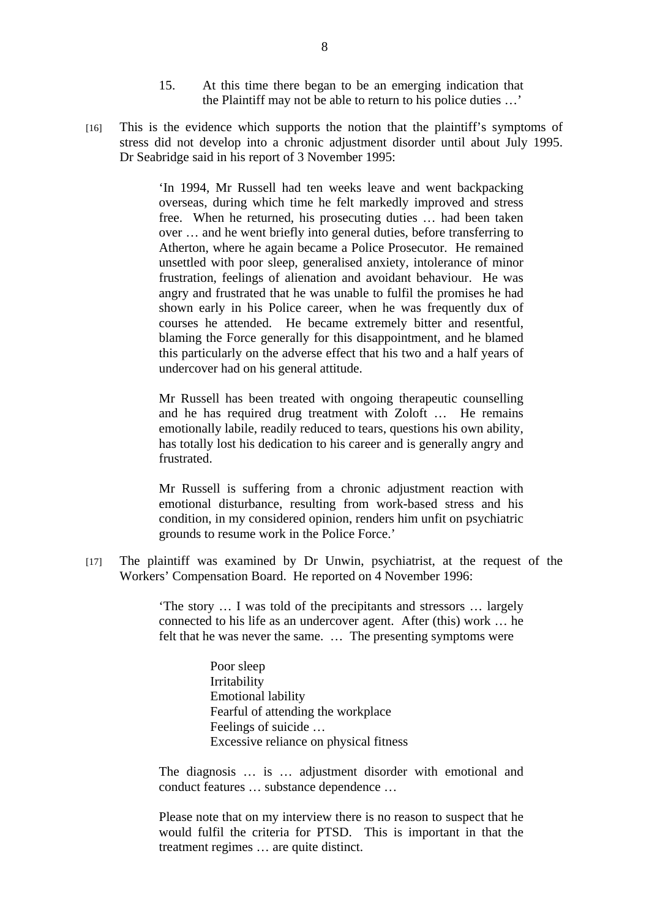- 15. At this time there began to be an emerging indication that the Plaintiff may not be able to return to his police duties …'
- [16] This is the evidence which supports the notion that the plaintiff's symptoms of stress did not develop into a chronic adjustment disorder until about July 1995. Dr Seabridge said in his report of 3 November 1995:

'In 1994, Mr Russell had ten weeks leave and went backpacking overseas, during which time he felt markedly improved and stress free. When he returned, his prosecuting duties … had been taken over … and he went briefly into general duties, before transferring to Atherton, where he again became a Police Prosecutor. He remained unsettled with poor sleep, generalised anxiety, intolerance of minor frustration, feelings of alienation and avoidant behaviour. He was angry and frustrated that he was unable to fulfil the promises he had shown early in his Police career, when he was frequently dux of courses he attended. He became extremely bitter and resentful, blaming the Force generally for this disappointment, and he blamed this particularly on the adverse effect that his two and a half years of undercover had on his general attitude.

Mr Russell has been treated with ongoing therapeutic counselling and he has required drug treatment with Zoloft … He remains emotionally labile, readily reduced to tears, questions his own ability, has totally lost his dedication to his career and is generally angry and frustrated.

Mr Russell is suffering from a chronic adjustment reaction with emotional disturbance, resulting from work-based stress and his condition, in my considered opinion, renders him unfit on psychiatric grounds to resume work in the Police Force.'

[17] The plaintiff was examined by Dr Unwin, psychiatrist, at the request of the Workers' Compensation Board. He reported on 4 November 1996:

> 'The story … I was told of the precipitants and stressors … largely connected to his life as an undercover agent. After (this) work … he felt that he was never the same. … The presenting symptoms were

> > Poor sleep Irritability Emotional lability Fearful of attending the workplace Feelings of suicide … Excessive reliance on physical fitness

The diagnosis … is … adjustment disorder with emotional and conduct features … substance dependence …

Please note that on my interview there is no reason to suspect that he would fulfil the criteria for PTSD. This is important in that the treatment regimes … are quite distinct.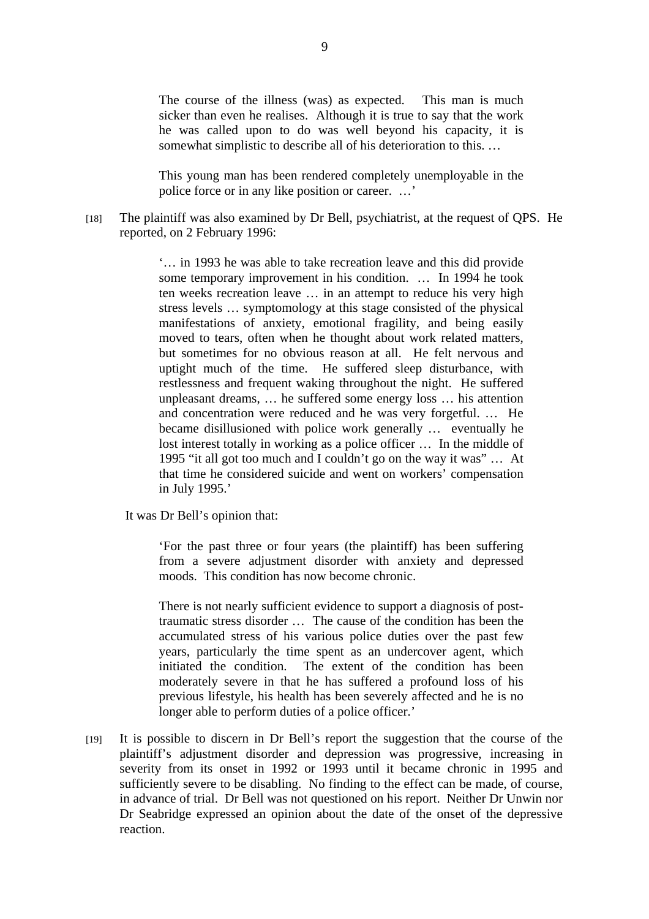The course of the illness (was) as expected. This man is much sicker than even he realises. Although it is true to say that the work he was called upon to do was well beyond his capacity, it is somewhat simplistic to describe all of his deterioration to this. …

This young man has been rendered completely unemployable in the police force or in any like position or career. …'

[18] The plaintiff was also examined by Dr Bell, psychiatrist, at the request of QPS. He reported, on 2 February 1996:

> '… in 1993 he was able to take recreation leave and this did provide some temporary improvement in his condition. … In 1994 he took ten weeks recreation leave … in an attempt to reduce his very high stress levels … symptomology at this stage consisted of the physical manifestations of anxiety, emotional fragility, and being easily moved to tears, often when he thought about work related matters, but sometimes for no obvious reason at all. He felt nervous and uptight much of the time. He suffered sleep disturbance, with restlessness and frequent waking throughout the night. He suffered unpleasant dreams, … he suffered some energy loss … his attention and concentration were reduced and he was very forgetful. … He became disillusioned with police work generally … eventually he lost interest totally in working as a police officer … In the middle of 1995 "it all got too much and I couldn't go on the way it was" … At that time he considered suicide and went on workers' compensation in July 1995.'

It was Dr Bell's opinion that:

'For the past three or four years (the plaintiff) has been suffering from a severe adjustment disorder with anxiety and depressed moods. This condition has now become chronic.

There is not nearly sufficient evidence to support a diagnosis of posttraumatic stress disorder … The cause of the condition has been the accumulated stress of his various police duties over the past few years, particularly the time spent as an undercover agent, which initiated the condition. The extent of the condition has been moderately severe in that he has suffered a profound loss of his previous lifestyle, his health has been severely affected and he is no longer able to perform duties of a police officer.'

[19] It is possible to discern in Dr Bell's report the suggestion that the course of the plaintiff's adjustment disorder and depression was progressive, increasing in severity from its onset in 1992 or 1993 until it became chronic in 1995 and sufficiently severe to be disabling. No finding to the effect can be made, of course, in advance of trial. Dr Bell was not questioned on his report. Neither Dr Unwin nor Dr Seabridge expressed an opinion about the date of the onset of the depressive reaction.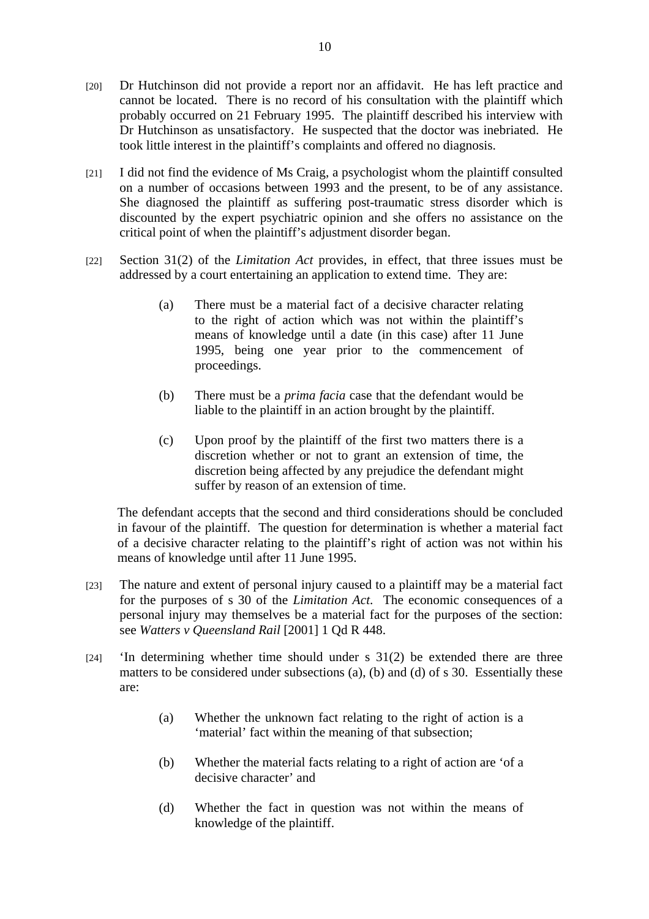- [20] Dr Hutchinson did not provide a report nor an affidavit. He has left practice and cannot be located. There is no record of his consultation with the plaintiff which probably occurred on 21 February 1995. The plaintiff described his interview with Dr Hutchinson as unsatisfactory. He suspected that the doctor was inebriated. He took little interest in the plaintiff's complaints and offered no diagnosis.
- [21] I did not find the evidence of Ms Craig, a psychologist whom the plaintiff consulted on a number of occasions between 1993 and the present, to be of any assistance. She diagnosed the plaintiff as suffering post-traumatic stress disorder which is discounted by the expert psychiatric opinion and she offers no assistance on the critical point of when the plaintiff's adjustment disorder began.
- [22] Section 31(2) of the *Limitation Act* provides, in effect, that three issues must be addressed by a court entertaining an application to extend time. They are:
	- (a) There must be a material fact of a decisive character relating to the right of action which was not within the plaintiff's means of knowledge until a date (in this case) after 11 June 1995, being one year prior to the commencement of proceedings.
	- (b) There must be a *prima facia* case that the defendant would be liable to the plaintiff in an action brought by the plaintiff.
	- (c) Upon proof by the plaintiff of the first two matters there is a discretion whether or not to grant an extension of time, the discretion being affected by any prejudice the defendant might suffer by reason of an extension of time.

The defendant accepts that the second and third considerations should be concluded in favour of the plaintiff. The question for determination is whether a material fact of a decisive character relating to the plaintiff's right of action was not within his means of knowledge until after 11 June 1995.

- [23] The nature and extent of personal injury caused to a plaintiff may be a material fact for the purposes of s 30 of the *Limitation Act*. The economic consequences of a personal injury may themselves be a material fact for the purposes of the section: see *Watters v Queensland Rail* [2001] 1 Qd R 448.
- [24] 'In determining whether time should under s 31(2) be extended there are three matters to be considered under subsections (a), (b) and (d) of s 30. Essentially these are:
	- (a) Whether the unknown fact relating to the right of action is a 'material' fact within the meaning of that subsection;
	- (b) Whether the material facts relating to a right of action are 'of a decisive character' and
	- (d) Whether the fact in question was not within the means of knowledge of the plaintiff.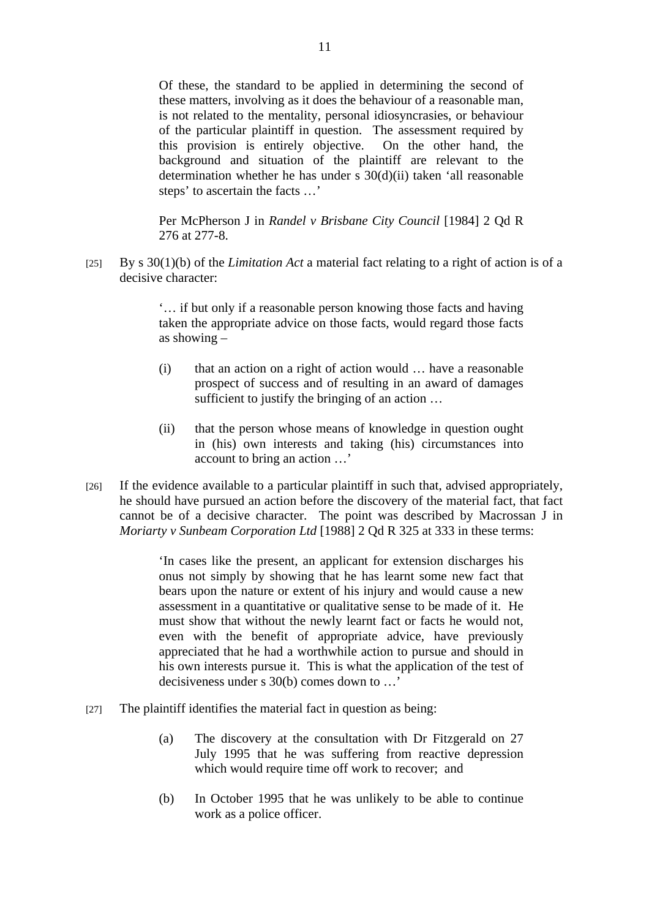Of these, the standard to be applied in determining the second of these matters, involving as it does the behaviour of a reasonable man, is not related to the mentality, personal idiosyncrasies, or behaviour of the particular plaintiff in question. The assessment required by this provision is entirely objective. On the other hand, the background and situation of the plaintiff are relevant to the determination whether he has under s 30(d)(ii) taken 'all reasonable steps' to ascertain the facts …'

Per McPherson J in *Randel v Brisbane City Council* [1984] 2 Qd R 276 at 277-8.

[25] By s 30(1)(b) of the *Limitation Act* a material fact relating to a right of action is of a decisive character:

> '… if but only if a reasonable person knowing those facts and having taken the appropriate advice on those facts, would regard those facts as showing –

- (i) that an action on a right of action would … have a reasonable prospect of success and of resulting in an award of damages sufficient to justify the bringing of an action …
- (ii) that the person whose means of knowledge in question ought in (his) own interests and taking (his) circumstances into account to bring an action …'
- [26] If the evidence available to a particular plaintiff in such that, advised appropriately, he should have pursued an action before the discovery of the material fact, that fact cannot be of a decisive character. The point was described by Macrossan J in *Moriarty v Sunbeam Corporation Ltd* [1988] 2 Qd R 325 at 333 in these terms:

'In cases like the present, an applicant for extension discharges his onus not simply by showing that he has learnt some new fact that bears upon the nature or extent of his injury and would cause a new assessment in a quantitative or qualitative sense to be made of it. He must show that without the newly learnt fact or facts he would not, even with the benefit of appropriate advice, have previously appreciated that he had a worthwhile action to pursue and should in his own interests pursue it. This is what the application of the test of decisiveness under s 30(b) comes down to …'

- [27] The plaintiff identifies the material fact in question as being:
	- (a) The discovery at the consultation with Dr Fitzgerald on 27 July 1995 that he was suffering from reactive depression which would require time off work to recover; and
	- (b) In October 1995 that he was unlikely to be able to continue work as a police officer.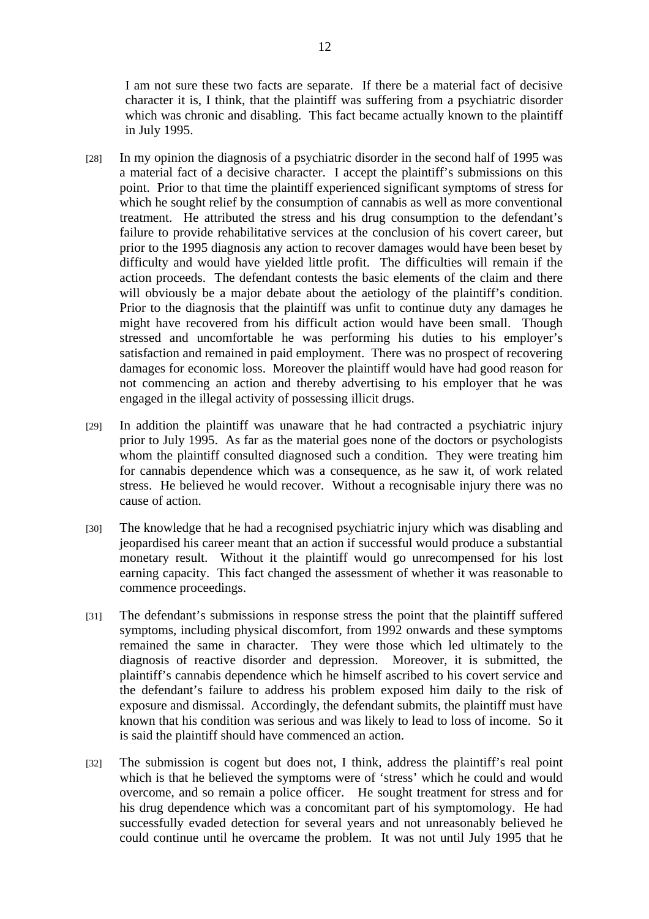I am not sure these two facts are separate. If there be a material fact of decisive character it is, I think, that the plaintiff was suffering from a psychiatric disorder which was chronic and disabling. This fact became actually known to the plaintiff in July 1995.

- [28] In my opinion the diagnosis of a psychiatric disorder in the second half of 1995 was a material fact of a decisive character. I accept the plaintiff's submissions on this point. Prior to that time the plaintiff experienced significant symptoms of stress for which he sought relief by the consumption of cannabis as well as more conventional treatment. He attributed the stress and his drug consumption to the defendant's failure to provide rehabilitative services at the conclusion of his covert career, but prior to the 1995 diagnosis any action to recover damages would have been beset by difficulty and would have yielded little profit. The difficulties will remain if the action proceeds. The defendant contests the basic elements of the claim and there will obviously be a major debate about the aetiology of the plaintiff's condition. Prior to the diagnosis that the plaintiff was unfit to continue duty any damages he might have recovered from his difficult action would have been small. Though stressed and uncomfortable he was performing his duties to his employer's satisfaction and remained in paid employment. There was no prospect of recovering damages for economic loss. Moreover the plaintiff would have had good reason for not commencing an action and thereby advertising to his employer that he was engaged in the illegal activity of possessing illicit drugs.
- [29] In addition the plaintiff was unaware that he had contracted a psychiatric injury prior to July 1995. As far as the material goes none of the doctors or psychologists whom the plaintiff consulted diagnosed such a condition. They were treating him for cannabis dependence which was a consequence, as he saw it, of work related stress. He believed he would recover. Without a recognisable injury there was no cause of action.
- [30] The knowledge that he had a recognised psychiatric injury which was disabling and jeopardised his career meant that an action if successful would produce a substantial monetary result. Without it the plaintiff would go unrecompensed for his lost earning capacity. This fact changed the assessment of whether it was reasonable to commence proceedings.
- [31] The defendant's submissions in response stress the point that the plaintiff suffered symptoms, including physical discomfort, from 1992 onwards and these symptoms remained the same in character. They were those which led ultimately to the diagnosis of reactive disorder and depression. Moreover, it is submitted, the plaintiff's cannabis dependence which he himself ascribed to his covert service and the defendant's failure to address his problem exposed him daily to the risk of exposure and dismissal. Accordingly, the defendant submits, the plaintiff must have known that his condition was serious and was likely to lead to loss of income. So it is said the plaintiff should have commenced an action.
- [32] The submission is cogent but does not, I think, address the plaintiff's real point which is that he believed the symptoms were of 'stress' which he could and would overcome, and so remain a police officer. He sought treatment for stress and for his drug dependence which was a concomitant part of his symptomology. He had successfully evaded detection for several years and not unreasonably believed he could continue until he overcame the problem. It was not until July 1995 that he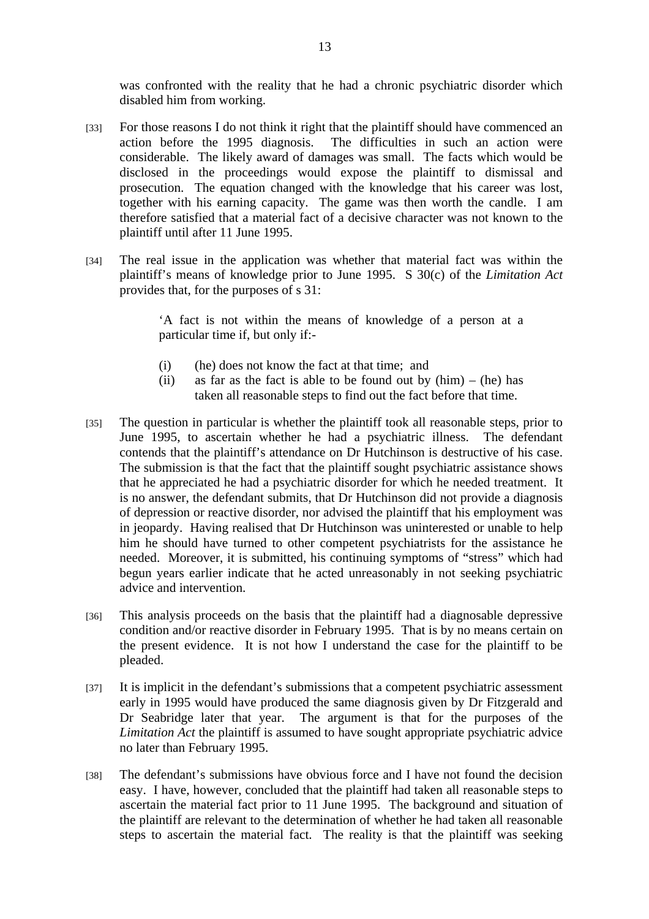was confronted with the reality that he had a chronic psychiatric disorder which disabled him from working.

- [33] For those reasons I do not think it right that the plaintiff should have commenced an action before the 1995 diagnosis. The difficulties in such an action were considerable. The likely award of damages was small. The facts which would be disclosed in the proceedings would expose the plaintiff to dismissal and prosecution. The equation changed with the knowledge that his career was lost, together with his earning capacity. The game was then worth the candle. I am therefore satisfied that a material fact of a decisive character was not known to the plaintiff until after 11 June 1995.
- [34] The real issue in the application was whether that material fact was within the plaintiff's means of knowledge prior to June 1995. S 30(c) of the *Limitation Act* provides that, for the purposes of s 31:

'A fact is not within the means of knowledge of a person at a particular time if, but only if:-

- (i) (he) does not know the fact at that time; and
- (ii) as far as the fact is able to be found out by  $(him) (he)$  has taken all reasonable steps to find out the fact before that time.
- [35] The question in particular is whether the plaintiff took all reasonable steps, prior to June 1995, to ascertain whether he had a psychiatric illness. The defendant contends that the plaintiff's attendance on Dr Hutchinson is destructive of his case. The submission is that the fact that the plaintiff sought psychiatric assistance shows that he appreciated he had a psychiatric disorder for which he needed treatment. It is no answer, the defendant submits, that Dr Hutchinson did not provide a diagnosis of depression or reactive disorder, nor advised the plaintiff that his employment was in jeopardy. Having realised that Dr Hutchinson was uninterested or unable to help him he should have turned to other competent psychiatrists for the assistance he needed. Moreover, it is submitted, his continuing symptoms of "stress" which had begun years earlier indicate that he acted unreasonably in not seeking psychiatric advice and intervention.
- [36] This analysis proceeds on the basis that the plaintiff had a diagnosable depressive condition and/or reactive disorder in February 1995. That is by no means certain on the present evidence. It is not how I understand the case for the plaintiff to be pleaded.
- [37] It is implicit in the defendant's submissions that a competent psychiatric assessment early in 1995 would have produced the same diagnosis given by Dr Fitzgerald and Dr Seabridge later that year. The argument is that for the purposes of the *Limitation Act* the plaintiff is assumed to have sought appropriate psychiatric advice no later than February 1995.
- [38] The defendant's submissions have obvious force and I have not found the decision easy. I have, however, concluded that the plaintiff had taken all reasonable steps to ascertain the material fact prior to 11 June 1995. The background and situation of the plaintiff are relevant to the determination of whether he had taken all reasonable steps to ascertain the material fact. The reality is that the plaintiff was seeking